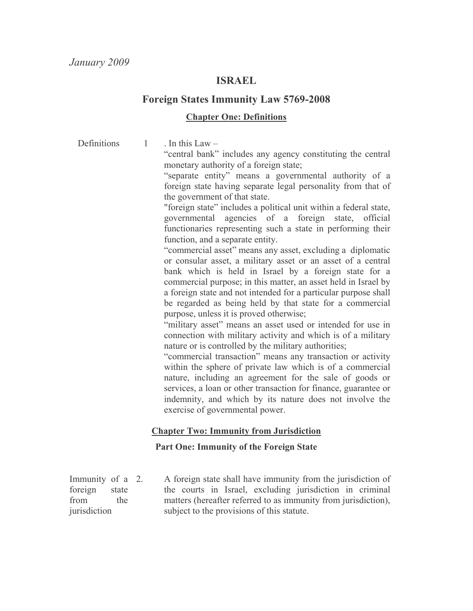## **ISRAEL**

## **Foreign States Immunity Law 5769-2008**

#### **Chapter One: Definitions**

. In this  $Law -$ **Definitions**  $\mathbf{1}$ 

"central bank" includes any agency constituting the central monetary authority of a foreign state;

"separate entity" means a governmental authority of a foreign state having separate legal personality from that of the government of that state.

"foreign state" includes a political unit within a federal state, governmental agencies of a foreign state, official functionaries representing such a state in performing their function, and a separate entity.

"commercial asset" means any asset, excluding a diplomatic or consular asset, a military asset or an asset of a central bank which is held in Israel by a foreign state for a commercial purpose; in this matter, an asset held in Israel by a foreign state and not intended for a particular purpose shall be regarded as being held by that state for a commercial purpose, unless it is proved otherwise;

"military asset" means an asset used or intended for use in connection with military activity and which is of a military nature or is controlled by the military authorities;

"commercial transaction" means any transaction or activity within the sphere of private law which is of a commercial nature, including an agreement for the sale of goods or services, a loan or other transaction for finance, guarantee or indemnity, and which by its nature does not involve the exercise of governmental power.

## **Chapter Two: Immunity from Jurisdiction**

## **Part One: Immunity of the Foreign State**

Immunity of a 2. foreign state from the iurisdiction

A foreign state shall have immunity from the jurisdiction of the courts in Israel, excluding jurisdiction in criminal matters (hereafter referred to as immunity from jurisdiction), subject to the provisions of this statute.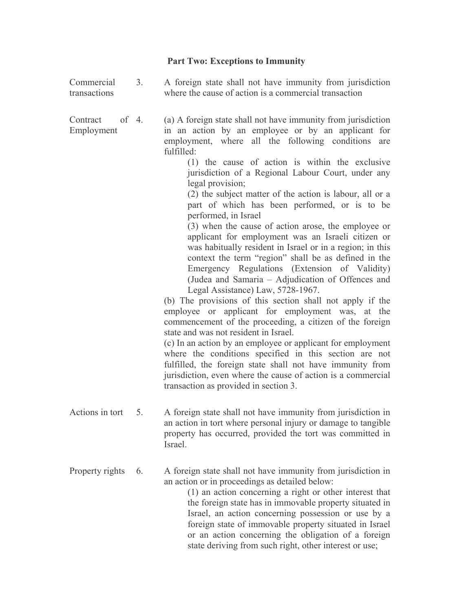# Part Two: Exceptions to Immunity

| Commercial<br>transactions      | 3 <sub>1</sub> | A foreign state shall not have immunity from jurisdiction<br>where the cause of action is a commercial transaction                                                                                                                                                                                                                                                                                                                                                                                                                                                                                                                                                                                                                                                                                                                                                                                                                                                                                                                                                                                                                                                                                                                                                                                                                                             |
|---------------------------------|----------------|----------------------------------------------------------------------------------------------------------------------------------------------------------------------------------------------------------------------------------------------------------------------------------------------------------------------------------------------------------------------------------------------------------------------------------------------------------------------------------------------------------------------------------------------------------------------------------------------------------------------------------------------------------------------------------------------------------------------------------------------------------------------------------------------------------------------------------------------------------------------------------------------------------------------------------------------------------------------------------------------------------------------------------------------------------------------------------------------------------------------------------------------------------------------------------------------------------------------------------------------------------------------------------------------------------------------------------------------------------------|
| of 4.<br>Contract<br>Employment |                | (a) A foreign state shall not have immunity from jurisdiction<br>in an action by an employee or by an applicant for<br>employment, where all the following conditions<br>are<br>fulfilled:<br>(1) the cause of action is within the exclusive<br>jurisdiction of a Regional Labour Court, under any<br>legal provision;<br>(2) the subject matter of the action is labour, all or a<br>part of which has been performed, or is to be<br>performed, in Israel<br>(3) when the cause of action arose, the employee or<br>applicant for employment was an Israeli citizen or<br>was habitually resident in Israel or in a region; in this<br>context the term "region" shall be as defined in the<br>Emergency Regulations (Extension of Validity)<br>(Judea and Samaria - Adjudication of Offences and<br>Legal Assistance) Law, 5728-1967.<br>(b) The provisions of this section shall not apply if the<br>employee or applicant for employment was, at the<br>commencement of the proceeding, a citizen of the foreign<br>state and was not resident in Israel.<br>(c) In an action by an employee or applicant for employment<br>where the conditions specified in this section are not<br>fulfilled, the foreign state shall not have immunity from<br>jurisdiction, even where the cause of action is a commercial<br>transaction as provided in section 3. |
| Actions in tort                 | 5.             | A foreign state shall not have immunity from jurisdiction in<br>an action in tort where personal injury or damage to tangible<br>property has occurred, provided the tort was committed in<br>Israel.                                                                                                                                                                                                                                                                                                                                                                                                                                                                                                                                                                                                                                                                                                                                                                                                                                                                                                                                                                                                                                                                                                                                                          |
| Property rights                 | 6.             | A foreign state shall not have immunity from jurisdiction in<br>an action or in proceedings as detailed below:<br>(1) an action concerning a right or other interest that<br>the foreign state has in immovable property situated in<br>Israel, an action concerning possession or use by a<br>foreign state of immovable property situated in Israel<br>or an action concerning the obligation of a foreign                                                                                                                                                                                                                                                                                                                                                                                                                                                                                                                                                                                                                                                                                                                                                                                                                                                                                                                                                   |

state deriving from such right, other interest or use;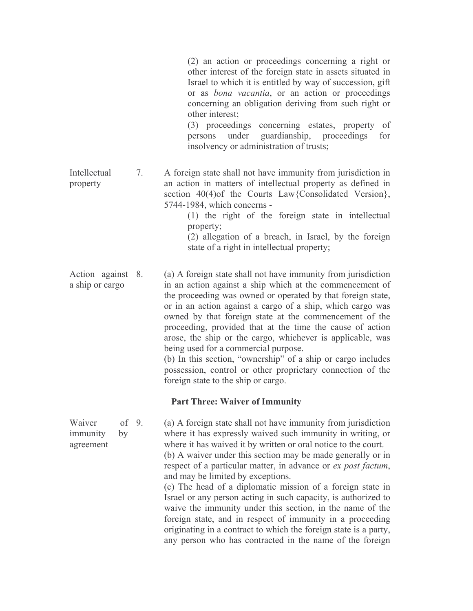(2) an action or proceedings concerning a right or other interest of the foreign state in assets situated in Israel to which it is entitled by way of succession, gift or as *bona vacantia*, or an action or proceedings concerning an obligation deriving from such right or other interest;

(3) proceedings concerning estates, property of under guardianship, persons proceedings for insolvency or administration of trusts;

Intellectual 7. A foreign state shall not have immunity from jurisdiction in an action in matters of intellectual property as defined in property section  $40(4)$  of the Courts Law {Consolidated Version}, 5744-1984, which concerns -

(1) the right of the foreign state in intellectual property; (2) allegation of a breach, in Israel, by the foreign state of a right in intellectual property;

Action against 8. (a) A foreign state shall not have immunity from jurisdiction a ship or cargo in an action against a ship which at the commencement of the proceeding was owned or operated by that foreign state, or in an action against a cargo of a ship, which cargo was owned by that foreign state at the commencement of the proceeding, provided that at the time the cause of action arose, the ship or the cargo, whichever is applicable, was being used for a commercial purpose.

(b) In this section, "ownership" of a ship or cargo includes possession, control or other proprietary connection of the foreign state to the ship or cargo.

#### **Part Three: Waiver of Immunity**

Waiver of  $9$ . (a) A foreign state shall not have immunity from jurisdiction where it has expressly waived such immunity in writing, or immunity by where it has waived it by written or oral notice to the court. agreement (b) A waiver under this section may be made generally or in respect of a particular matter, in advance or ex post factum, and may be limited by exceptions. (c) The head of a diplomatic mission of a foreign state in Israel or any person acting in such capacity, is authorized to waive the immunity under this section, in the name of the foreign state, and in respect of immunity in a proceeding originating in a contract to which the foreign state is a party, any person who has contracted in the name of the foreign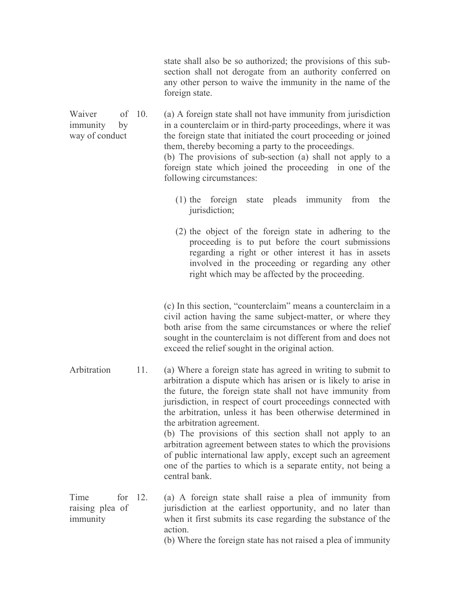state shall also be so authorized; the provisions of this subsection shall not derogate from an authority conferred on any other person to waive the immunity in the name of the foreign state. Waiver of  $10$ . (a) A foreign state shall not have immunity from jurisdiction immunity in a counterclaim or in third-party proceedings, where it was by way of conduct the foreign state that initiated the court proceeding or joined them, thereby becoming a party to the proceedings. (b) The provisions of sub-section (a) shall not apply to a foreign state which joined the proceeding in one of the following circumstances: (1) the foreign state pleads immunity from the jurisdiction; (2) the object of the foreign state in adhering to the proceeding is to put before the court submissions regarding a right or other interest it has in assets involved in the proceeding or regarding any other

> (c) In this section, "counterclaim" means a counterclaim in a civil action having the same subject-matter, or where they both arise from the same circumstances or where the relief sought in the counterclaim is not different from and does not exceed the relief sought in the original action.

right which may be affected by the proceeding.

Arbitration  $11.$ (a) Where a foreign state has agreed in writing to submit to arbitration a dispute which has arisen or is likely to arise in the future, the foreign state shall not have immunity from jurisdiction, in respect of court proceedings connected with the arbitration, unless it has been otherwise determined in the arbitration agreement.

(b) The provisions of this section shall not apply to an arbitration agreement between states to which the provisions of public international law apply, except such an agreement one of the parties to which is a separate entity, not being a central bank.

Time for  $12$ . (a) A foreign state shall raise a plea of immunity from raising plea of jurisdiction at the earliest opportunity, and no later than immunity when it first submits its case regarding the substance of the action.

(b) Where the foreign state has not raised a plea of immunity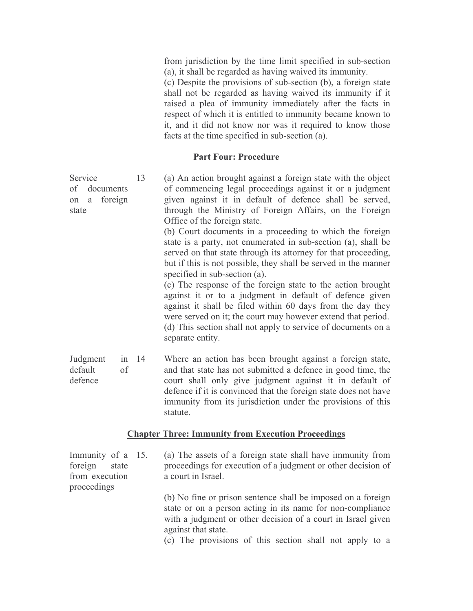from jurisdiction by the time limit specified in sub-section (a), it shall be regarded as having waived its immunity.

(c) Despite the provisions of sub-section (b), a foreign state shall not be regarded as having waived its immunity if it raised a plea of immunity immediately after the facts in respect of which it is entitled to immunity became known to it, and it did not know nor was it required to know those facts at the time specified in sub-section (a).

#### **Part Four: Procedure**

Service 13 (a) An action brought against a foreign state with the object of commencing legal proceedings against it or a judgment of documents given against it in default of defence shall be served, on a foreign through the Ministry of Foreign Affairs, on the Foreign state Office of the foreign state. (b) Court documents in a proceeding to which the foreign state is a party, not enumerated in sub-section (a), shall be served on that state through its attorney for that proceeding, but if this is not possible, they shall be served in the manner specified in sub-section (a). (c) The response of the foreign state to the action brought against it or to a judgment in default of defence given against it shall be filed within 60 days from the day they were served on it; the court may however extend that period. (d) This section shall not apply to service of documents on a separate entity. Judgment Where an action has been brought against a foreign state, in  $14$ default and that state has not submitted a defence in good time, the  $\alpha$ f

court shall only give judgment against it in default of defence defence if it is convinced that the foreign state does not have immunity from its jurisdiction under the provisions of this statute.

#### **Chapter Three: Immunity from Execution Proceedings**

Immunity of a 15. (a) The assets of a foreign state shall have immunity from proceedings for execution of a judgment or other decision of foreign state from execution a court in Israel. proceedings (b) No fine or prison sentence shall be imposed on a foreign state or on a person acting in its name for non-compliance with a judgment or other decision of a court in Israel given against that state. (c) The provisions of this section shall not apply to a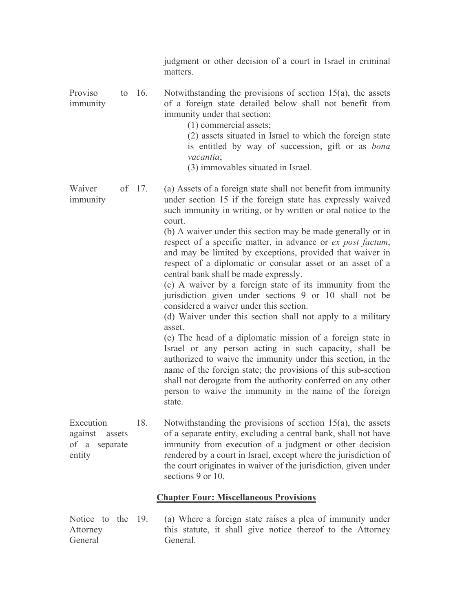|                                                              |  |          | judgment or other decision of a court in Israel in criminal<br>matters.                                                                                                                                                                                                                                                                                                                                                                                                                                                                                                                                                                                                                                                                                                                                                                                                                                                                         |  |
|--------------------------------------------------------------|--|----------|-------------------------------------------------------------------------------------------------------------------------------------------------------------------------------------------------------------------------------------------------------------------------------------------------------------------------------------------------------------------------------------------------------------------------------------------------------------------------------------------------------------------------------------------------------------------------------------------------------------------------------------------------------------------------------------------------------------------------------------------------------------------------------------------------------------------------------------------------------------------------------------------------------------------------------------------------|--|
| Proviso<br>immunity                                          |  | to $16.$ | Notwithstanding the provisions of section $15(a)$ , the assets<br>of a foreign state detailed below shall not benefit from<br>immunity under that section:<br>$(1)$ commercial assets;<br>(2) assets situated in Israel to which the foreign state<br>is entitled by way of succession, gift or as bona<br>vacantia;<br>(3) immovables situated in Israel.                                                                                                                                                                                                                                                                                                                                                                                                                                                                                                                                                                                      |  |
| Waiver<br>immunity                                           |  | of 17.   | (a) Assets of a foreign state shall not benefit from immunity<br>under section 15 if the foreign state has expressly waived<br>such immunity in writing, or by written or oral notice to the                                                                                                                                                                                                                                                                                                                                                                                                                                                                                                                                                                                                                                                                                                                                                    |  |
|                                                              |  |          | court.<br>(b) A waiver under this section may be made generally or in<br>respect of a specific matter, in advance or ex post factum,<br>and may be limited by exceptions, provided that waiver in<br>respect of a diplomatic or consular asset or an asset of a<br>central bank shall be made expressly.<br>(c) A waiver by a foreign state of its immunity from the<br>jurisdiction given under sections 9 or 10 shall not be<br>considered a waiver under this section.<br>(d) Waiver under this section shall not apply to a military<br>asset.<br>(e) The head of a diplomatic mission of a foreign state in<br>Israel or any person acting in such capacity, shall be<br>authorized to waive the immunity under this section, in the<br>name of the foreign state; the provisions of this sub-section<br>shall not derogate from the authority conferred on any other<br>person to waive the immunity in the name of the foreign<br>state. |  |
| Execution<br>against<br>assets<br>of a<br>separate<br>entity |  | 18.      | Notwithstanding the provisions of section $15(a)$ , the assets<br>of a separate entity, excluding a central bank, shall not have<br>immunity from execution of a judgment or other decision<br>rendered by a court in Israel, except where the jurisdiction of<br>the court originates in waiver of the jurisdiction, given under<br>sections 9 or 10.                                                                                                                                                                                                                                                                                                                                                                                                                                                                                                                                                                                          |  |
| <b>Chapter Four: Miscellaneous Provisions</b>                |  |          |                                                                                                                                                                                                                                                                                                                                                                                                                                                                                                                                                                                                                                                                                                                                                                                                                                                                                                                                                 |  |
| Notice<br>to the                                             |  | 19.      | (a) Where a foreign state raises a plea of immunity under                                                                                                                                                                                                                                                                                                                                                                                                                                                                                                                                                                                                                                                                                                                                                                                                                                                                                       |  |

Attorney<br>General this statute, it shall give notice thereof to the Attorney General.